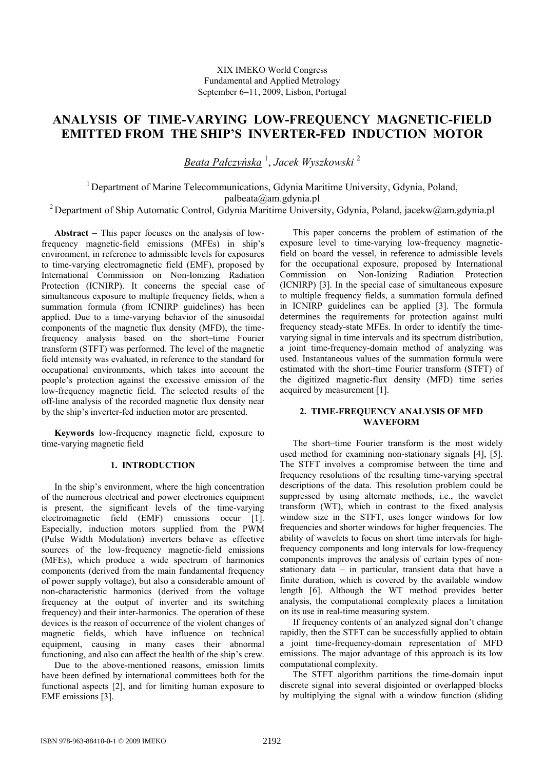# **ANALYSIS OF TIME-VARYING LOW-FREQUENCY MAGNETIC-FIELD EMITTED FROM THE SHIP'S INVERTER-FED INDUCTION MOTOR**

*Beata Pałczyńska* <sup>1</sup> , *Jacek Wyszkowski* <sup>2</sup>

<sup>1</sup> Department of Marine Telecommunications, Gdynia Maritime University, Gdynia, Poland, palbeata@am.gdynia.pl

<sup>2</sup> Department of Ship Automatic Control, Gdynia Maritime University, Gdynia, Poland, jacekw@am.gdynia.pl

**Abstract** − This paper focuses on the analysis of lowfrequency magnetic-field emissions (MFEs) in ship's environment, in reference to admissible levels for exposures to time-varying electromagnetic field (EMF), proposed by International Commission on Non-Ionizing Radiation Protection (ICNIRP). It concerns the special case of simultaneous exposure to multiple frequency fields, when a summation formula (from ICNIRP guidelines) has been applied. Due to a time-varying behavior of the sinusoidal components of the magnetic flux density (MFD), the timefrequency analysis based on the short–time Fourier transform (STFT) was performed. The level of the magnetic field intensity was evaluated, in reference to the standard for occupational environments, which takes into account the people's protection against the excessive emission of the low-frequency magnetic field. The selected results of the off-line analysis of the recorded magnetic flux density near by the ship's inverter-fed induction motor are presented.

**Keywords** low-frequency magnetic field, exposure to time-varying magnetic field

## **1. INTRODUCTION**

In the ship's environment, where the high concentration of the numerous electrical and power electronics equipment is present, the significant levels of the time-varying electromagnetic field (EMF) emissions occur [1]. electromagnetic field (EMF) emissions Especially, induction motors supplied from the PWM (Pulse Width Modulation) inverters behave as effective sources of the low-frequency magnetic-field emissions (MFEs), which produce a wide spectrum of harmonics components (derived from the main fundamental frequency of power supply voltage), but also a considerable amount of non-characteristic harmonics (derived from the voltage frequency at the output of inverter and its switching frequency) and their inter-harmonics. The operation of these devices is the reason of occurrence of the violent changes of magnetic fields, which have influence on technical equipment, causing in many cases their abnormal functioning, and also can affect the health of the ship's crew.

Due to the above-mentioned reasons, emission limits have been defined by international committees both for the functional aspects [2], and for limiting human exposure to EMF emissions [3].

This paper concerns the problem of estimation of the exposure level to time-varying low-frequency magneticfield on board the vessel, in reference to admissible levels for the occupational exposure, proposed by International Commission on Non-Ionizing Radiation Protection (ICNIRP) [3]. In the special case of simultaneous exposure to multiple frequency fields, a summation formula defined in ICNIRP guidelines can be applied [3]. The formula determines the requirements for protection against multi frequency steady-state MFEs. In order to identify the timevarying signal in time intervals and its spectrum distribution, a joint time-frequency-domain method of analyzing was used. Instantaneous values of the summation formula were estimated with the short–time Fourier transform (STFT) of the digitized magnetic-flux density (MFD) time series acquired by measurement [1].

### **2. TIME-FREQUENCY ANALYSIS OF MFD WAVEFORM**

The short–time Fourier transform is the most widely used method for examining non-stationary signals [4], [5]. The STFT involves a compromise between the time and frequency resolutions of the resulting time-varying spectral descriptions of the data. This resolution problem could be suppressed by using alternate methods, i.e., the wavelet transform (WT), which in contrast to the fixed analysis window size in the STFT, uses longer windows for low frequencies and shorter windows for higher frequencies. The ability of wavelets to focus on short time intervals for highfrequency components and long intervals for low-frequency components improves the analysis of certain types of nonstationary data – in particular, transient data that have a finite duration, which is covered by the available window length [6]. Although the WT method provides better analysis, the computational complexity places a limitation on its use in real-time measuring system.

If frequency contents of an analyzed signal don't change rapidly, then the STFT can be successfully applied to obtain a joint time-frequency-domain representation of MFD emissions. The major advantage of this approach is its low computational complexity.

 The STFT algorithm partitions the time-domain input discrete signal into several disjointed or overlapped blocks by multiplying the signal with a window function (sliding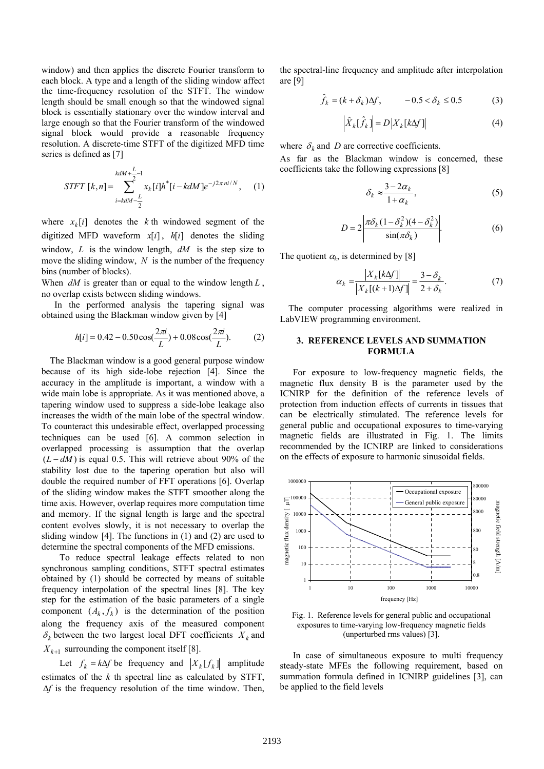window) and then applies the discrete Fourier transform to each block. A type and a length of the sliding window affect the time-frequency resolution of the STFT. The window length should be small enough so that the windowed signal block is essentially stationary over the window interval and large enough so that the Fourier transform of the windowed signal block would provide a reasonable frequency resolution. A discrete-time STFT of the digitized MFD time series is defined as [7]

$$
STFT\ [k,n] = \sum_{i=kdM-\frac{L}{2}}^{kdM+\frac{L}{2}-1} x_k[i]h^*[i - kdM]e^{-j2\pi ni/N}, \quad (1)
$$

where  $x_k[i]$  denotes the *k* th windowed segment of the digitized MFD waveform  $x[i]$ ,  $h[i]$  denotes the sliding window, *L* is the window length, *dM* is the step size to move the sliding window, *N* is the number of the frequency bins (number of blocks).

When *dM* is greater than or equal to the window length *L* , no overlap exists between sliding windows.

In the performed analysis the tapering signal was obtained using the Blackman window given by [4]

$$
h[i] = 0.42 - 0.50 \cos(\frac{2\pi i}{L}) + 0.08 \cos(\frac{2\pi i}{L}).
$$
 (2)

The Blackman window is a good general purpose window because of its high side-lobe rejection [4]. Since the accuracy in the amplitude is important, a window with a wide main lobe is appropriate. As it was mentioned above, a tapering window used to suppress a side-lobe leakage also increases the width of the main lobe of the spectral window. To counteract this undesirable effect, overlapped processing techniques can be used [6]. A common selection in overlapped processing is assumption that the overlap  $(L - dM)$  is equal 0.5. This will retrieve about 90% of the stability lost due to the tapering operation but also will double the required number of FFT operations [6]. Overlap of the sliding window makes the STFT smoother along the time axis. However, overlap requires more computation time and memory. If the signal length is large and the spectral content evolves slowly, it is not necessary to overlap the sliding window [4]. The functions in (1) and (2) are used to determine the spectral components of the MFD emissions.

To reduce spectral leakage effects related to non synchronous sampling conditions, STFT spectral estimates obtained by (1) should be corrected by means of suitable frequency interpolation of the spectral lines [8]. The key step for the estimation of the basic parameters of a single component  $(A_k, f_k)$  is the determination of the position along the frequency axis of the measured component  $\delta_k$  between the two largest local DFT coefficients  $X_k$  and  $X_{k+1}$  surrounding the component itself [8].

Let  $f_k = k\Delta f$  be frequency and  $|X_k[f_k]|$  amplitude estimates of the *k* th spectral line as calculated by STFT, ∆*f* is the frequency resolution of the time window. Then,

the spectral-line frequency and amplitude after interpolation are [9]

$$
\hat{f}_k = (k + \delta_k) \Delta f, \qquad -0.5 < \delta_k \le 0.5 \tag{3}
$$

$$
\left| \hat{X}_{k} [\hat{f}_{k}] \right| = D \left| X_{k} [k \Delta f] \right| \tag{4}
$$

where  $\delta_k$  and *D* are corrective coefficients.

As far as the Blackman window is concerned, these coefficients take the following expressions [8]

$$
\delta_k \approx \frac{3 - 2\alpha_k}{1 + \alpha_k},\tag{5}
$$

$$
D = 2 \left| \frac{\pi \delta_k (1 - \delta_k^2)(4 - \delta_k^2)}{\sin(\pi \delta_k)} \right|.
$$
 (6)

The quotient  $\alpha_k$ , is determined by [8]

$$
\alpha_k = \frac{|X_k[k\Delta f]|}{|X_k[(k+1)\Delta f]|} = \frac{3-\delta_k}{2+\delta_k}.\tag{7}
$$

The computer processing algorithms were realized in LabVIEW programming environment.

#### **3. REFERENCE LEVELS AND SUMMATION FORMULA**

For exposure to low-frequency magnetic fields, the magnetic flux density B is the parameter used by the ICNIRP for the definition of the reference levels of protection from induction effects of currents in tissues that can be electrically stimulated. The reference levels for general public and occupational exposures to time-varying magnetic fields are illustrated in Fig. 1. The limits recommended by the ICNIRP are linked to considerations on the effects of exposure to harmonic sinusoidal fields.



Fig. 1. Reference levels for general public and occupational exposures to time-varying low-frequency magnetic fields (unperturbed rms values) [3].

In case of simultaneous exposure to multi frequency steady-state MFEs the following requirement, based on summation formula defined in ICNIRP guidelines [3], can be applied to the field levels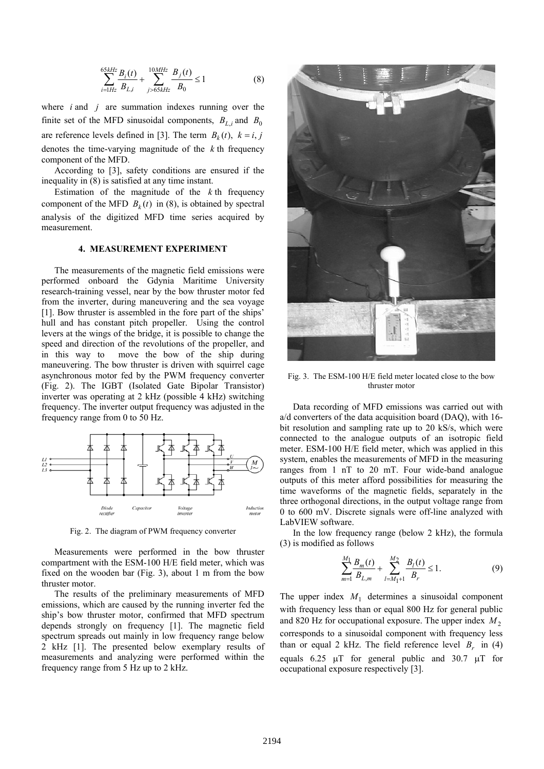$$
\sum_{i=1Hz}^{65kHz} \frac{B_i(t)}{B_{L,i}} + \sum_{j>65kHz}^{10MHz} \frac{B_j(t)}{B_0} \le 1
$$
 (8)

where *i* and *j* are summation indexes running over the finite set of the MFD sinusoidal components,  $B_{L,i}$  and  $B_0$ are reference levels defined in [3]. The term  $B_k(t)$ ,  $k = i, j$ denotes the time-varying magnitude of the *k* th frequency component of the MFD.

According to [3], safety conditions are ensured if the inequality in (8) is satisfied at any time instant.

Estimation of the magnitude of the *k* th frequency component of the MFD  $B_k(t)$  in (8), is obtained by spectral analysis of the digitized MFD time series acquired by measurement.

### **4. MEASUREMENT EXPERIMENT**

The measurements of the magnetic field emissions were performed onboard the Gdynia Maritime University research-training vessel, near by the bow thruster motor fed from the inverter, during maneuvering and the sea voyage [1]. Bow thruster is assembled in the fore part of the ships' hull and has constant pitch propeller. Using the control levers at the wings of the bridge, it is possible to change the speed and direction of the revolutions of the propeller, and in this way to move the bow of the ship during maneuvering. The bow thruster is driven with squirrel cage asynchronous motor fed by the PWM frequency converter (Fig. 2). The IGBT (Isolated Gate Bipolar Transistor) inverter was operating at 2 kHz (possible 4 kHz) switching frequency. The inverter output frequency was adjusted in the frequency range from 0 to 50 Hz.



Fig. 2. The diagram of PWM frequency converter

Measurements were performed in the bow thruster compartment with the ESM-100 H/E field meter, which was fixed on the wooden bar (Fig. 3), about 1 m from the bow thruster motor.

The results of the preliminary measurements of MFD emissions, which are caused by the running inverter fed the ship's bow thruster motor, confirmed that MFD spectrum depends strongly on frequency [1]. The magnetic field spectrum spreads out mainly in low frequency range below 2 kHz [1]. The presented below exemplary results of measurements and analyzing were performed within the frequency range from 5 Hz up to 2 kHz.



Fig. 3. The ESM-100 H/E field meter located close to the bow thruster motor

Data recording of MFD emissions was carried out with a/d converters of the data acquisition board (DAQ), with 16 bit resolution and sampling rate up to 20 kS/s, which were connected to the analogue outputs of an isotropic field meter. ESM-100 H/E field meter, which was applied in this system, enables the measurements of MFD in the measuring ranges from 1 nT to 20 mT. Four wide-band analogue outputs of this meter afford possibilities for measuring the time waveforms of the magnetic fields, separately in the three orthogonal directions, in the output voltage range from 0 to 600 mV. Discrete signals were off-line analyzed with LabVIEW software.

In the low frequency range (below 2 kHz), the formula (3) is modified as follows

$$
\sum_{m=1}^{M_1} \frac{B_m(t)}{B_{L,m}} + \sum_{l=M_1+1}^{M_2} \frac{B_l(t)}{B_r} \le 1.
$$
 (9)

The upper index  $M_1$  determines a sinusoidal component with frequency less than or equal 800 Hz for general public and 820 Hz for occupational exposure. The upper index  $M_2$ corresponds to a sinusoidal component with frequency less than or equal 2 kHz. The field reference level  $B_r$  in (4) equals 6.25 µT for general public and 30.7 µT for occupational exposure respectively [3].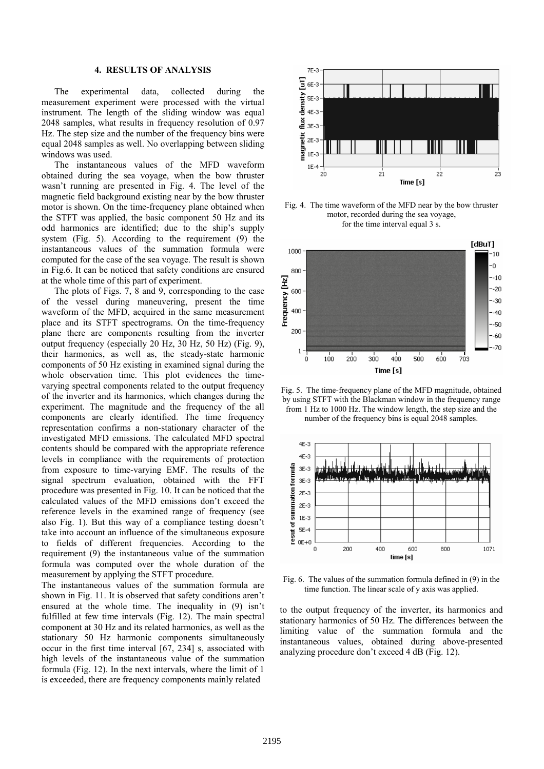# **4. RESULTS OF ANALYSIS**

The experimental data, collected during the measurement experiment were processed with the virtual instrument. The length of the sliding window was equal 2048 samples, what results in frequency resolution of 0.97 Hz. The step size and the number of the frequency bins were equal 2048 samples as well. No overlapping between sliding windows was used.

The instantaneous values of the MFD waveform obtained during the sea voyage, when the bow thruster wasn't running are presented in Fig. 4. The level of the magnetic field background existing near by the bow thruster motor is shown. On the time-frequency plane obtained when the STFT was applied, the basic component 50 Hz and its odd harmonics are identified; due to the ship's supply system (Fig. 5). According to the requirement (9) the instantaneous values of the summation formula were computed for the case of the sea voyage. The result is shown in Fig.6. It can be noticed that safety conditions are ensured at the whole time of this part of experiment.

The plots of Figs. 7, 8 and 9, corresponding to the case of the vessel during maneuvering, present the time waveform of the MFD, acquired in the same measurement place and its STFT spectrograms. On the time-frequency plane there are components resulting from the inverter output frequency (especially 20 Hz, 30 Hz, 50 Hz) (Fig. 9), their harmonics, as well as, the steady-state harmonic components of 50 Hz existing in examined signal during the whole observation time. This plot evidences the timevarying spectral components related to the output frequency of the inverter and its harmonics, which changes during the experiment. The magnitude and the frequency of the all components are clearly identified. The time frequency representation confirms a non-stationary character of the investigated MFD emissions. The calculated MFD spectral contents should be compared with the appropriate reference levels in compliance with the requirements of protection from exposure to time-varying EMF. The results of the signal spectrum evaluation, obtained with the FFT procedure was presented in Fig. 10. It can be noticed that the calculated values of the MFD emissions don't exceed the reference levels in the examined range of frequency (see also Fig. 1). But this way of a compliance testing doesn't take into account an influence of the simultaneous exposure to fields of different frequencies. According to the requirement (9) the instantaneous value of the summation formula was computed over the whole duration of the measurement by applying the STFT procedure.

The instantaneous values of the summation formula are shown in Fig. 11. It is observed that safety conditions aren't ensured at the whole time. The inequality in (9) isn't fulfilled at few time intervals (Fig. 12). The main spectral component at 30 Hz and its related harmonics, as well as the stationary 50 Hz harmonic components simultaneously occur in the first time interval [67, 234] s, associated with high levels of the instantaneous value of the summation formula (Fig. 12). In the next intervals, where the limit of 1 is exceeded, there are frequency components mainly related



Fig. 4. The time waveform of the MFD near by the bow thruster motor, recorded during the sea voyage, for the time interval equal 3 s.



Fig. 5. The time-frequency plane of the MFD magnitude, obtained by using STFT with the Blackman window in the frequency range from 1 Hz to 1000 Hz. The window length, the step size and the number of the frequency bins is equal 2048 samples.



Fig. 6. The values of the summation formula defined in (9) in the time function. The linear scale of y axis was applied.

to the output frequency of the inverter, its harmonics and stationary harmonics of 50 Hz. The differences between the limiting value of the summation formula and the instantaneous values, obtained during above-presented analyzing procedure don't exceed 4 dB (Fig. 12).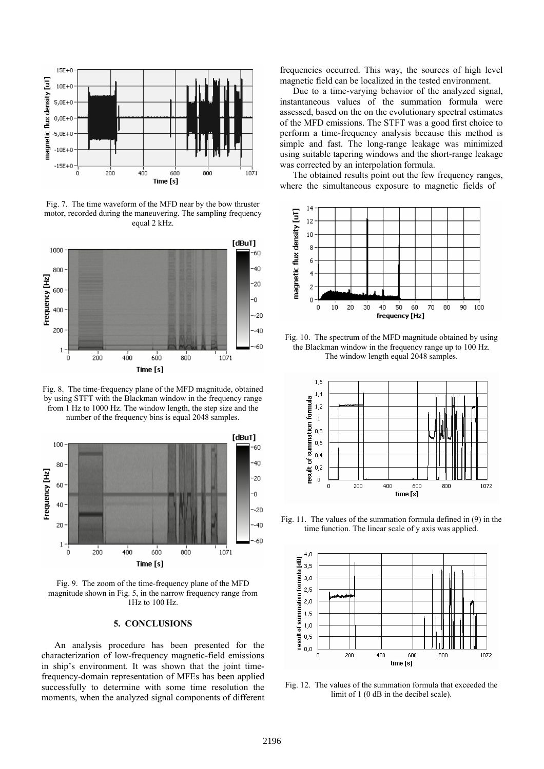

Fig. 7. The time waveform of the MFD near by the bow thruster motor, recorded during the maneuvering. The sampling frequency equal 2 kHz.



Fig. 8. The time-frequency plane of the MFD magnitude, obtained by using STFT with the Blackman window in the frequency range from 1 Hz to 1000 Hz. The window length, the step size and the number of the frequency bins is equal 2048 samples.



Fig. 9. The zoom of the time-frequency plane of the MFD magnitude shown in Fig. 5, in the narrow frequency range from 1Hz to 100 Hz.

#### **5. CONCLUSIONS**

An analysis procedure has been presented for the characterization of low-frequency magnetic-field emissions in ship's environment. It was shown that the joint timefrequency-domain representation of MFEs has been applied successfully to determine with some time resolution the moments, when the analyzed signal components of different frequencies occurred. This way, the sources of high level magnetic field can be localized in the tested environment.

Due to a time-varying behavior of the analyzed signal, instantaneous values of the summation formula were assessed, based on the on the evolutionary spectral estimates of the MFD emissions. The STFT was a good first choice to perform a time-frequency analysis because this method is simple and fast. The long-range leakage was minimized using suitable tapering windows and the short-range leakage was corrected by an interpolation formula.

The obtained results point out the few frequency ranges, where the simultaneous exposure to magnetic fields of



Fig. 10. The spectrum of the MFD magnitude obtained by using the Blackman window in the frequency range up to 100 Hz. The window length equal 2048 samples.



Fig. 11. The values of the summation formula defined in (9) in the time function. The linear scale of y axis was applied.



Fig. 12. The values of the summation formula that exceeded the limit of 1 (0 dB in the decibel scale).